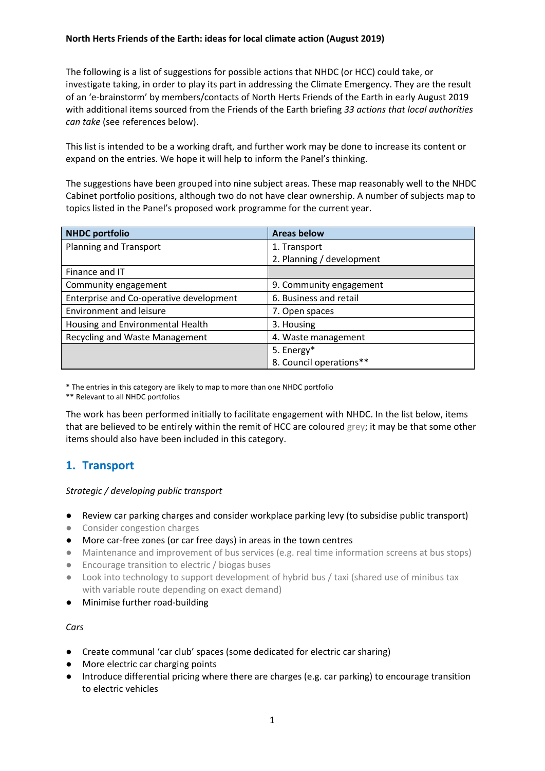### **North Herts Friends of the Earth: ideas for local climate action (August 2019)**

The following is a list of suggestions for possible actions that NHDC (or HCC) could take, or investigate taking, in order to play its part in addressing the Climate Emergency. They are the result of an 'e-brainstorm' by members/contacts of North Herts Friends of the Earth in early August 2019 with additional items sourced from the Friends of the Earth briefing *33 actions that local authorities can take* (see references below).

This list is intended to be a working draft, and further work may be done to increase its content or expand on the entries. We hope it will help to inform the Panel's thinking.

The suggestions have been grouped into nine subject areas. These map reasonably well to the NHDC Cabinet portfolio positions, although two do not have clear ownership. A number of subjects map to topics listed in the Panel's proposed work programme for the current year.

| <b>NHDC</b> portfolio                   | <b>Areas below</b>        |
|-----------------------------------------|---------------------------|
| <b>Planning and Transport</b>           | 1. Transport              |
|                                         | 2. Planning / development |
| Finance and IT                          |                           |
| Community engagement                    | 9. Community engagement   |
| Enterprise and Co-operative development | 6. Business and retail    |
| <b>Environment and leisure</b>          | 7. Open spaces            |
| Housing and Environmental Health        | 3. Housing                |
| Recycling and Waste Management          | 4. Waste management       |
|                                         | 5. Energy*                |
|                                         | 8. Council operations**   |

\* The entries in this category are likely to map to more than one NHDC portfolio

\*\* Relevant to all NHDC portfolios

The work has been performed initially to facilitate engagement with NHDC. In the list below, items that are believed to be entirely within the remit of HCC are coloured grey; it may be that some other items should also have been included in this category.

### **1. Transport**

#### *Strategic / developing public transport*

● Review car parking charges and consider workplace parking levy (to subsidise public transport)

- Consider congestion charges
- More car-free zones (or car free days) in areas in the town centres
- Maintenance and improvement of bus services (e.g. real time information screens at bus stops)
- Encourage transition to electric / biogas buses
- Look into technology to support development of hybrid bus / taxi (shared use of minibus tax with variable route depending on exact demand)
- Minimise further road-building

#### *Cars*

- Create communal 'car club' spaces (some dedicated for electric car sharing)
- More electric car charging points
- Introduce differential pricing where there are charges (e.g. car parking) to encourage transition to electric vehicles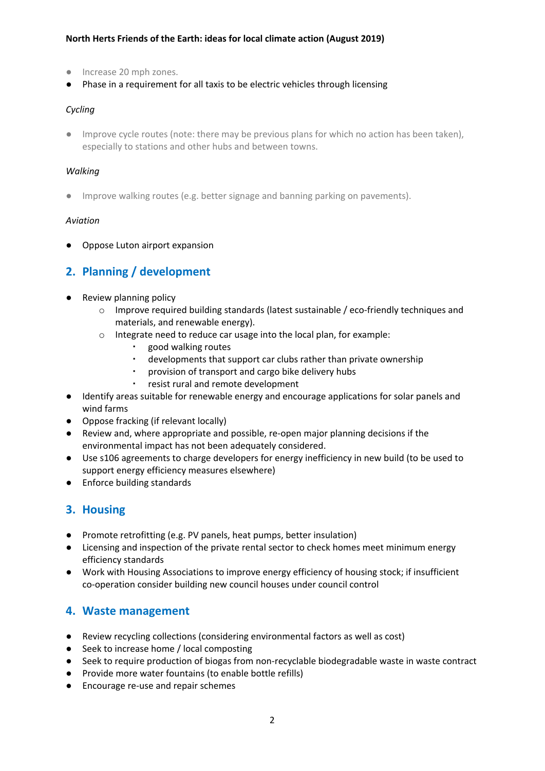### **North Herts Friends of the Earth: ideas for local climate action (August 2019)**

- Increase 20 mph zones.
- Phase in a requirement for all taxis to be electric vehicles through licensing

### *Cycling*

● Improve cycle routes (note: there may be previous plans for which no action has been taken), especially to stations and other hubs and between towns.

#### *Walking*

● Improve walking routes (e.g. better signage and banning parking on pavements).

#### *Aviation*

● Oppose Luton airport expansion

### **2. Planning / development**

- Review planning policy
	- o Improve required building standards (latest sustainable / eco-friendly techniques and materials, and renewable energy).
	- o Integrate need to reduce car usage into the local plan, for example:
		- good walking routes
		- developments that support car clubs rather than private ownership
		- provision of transport and cargo bike delivery hubs
		- resist rural and remote development
- Identify areas suitable for renewable energy and encourage applications for solar panels and wind farms
- Oppose fracking (if relevant locally)
- Review and, where appropriate and possible, re-open major planning decisions if the environmental impact has not been adequately considered.
- Use s106 agreements to charge developers for energy inefficiency in new build (to be used to support energy efficiency measures elsewhere)
- Enforce building standards

## **3. Housing**

- Promote retrofitting (e.g. PV panels, heat pumps, better insulation)
- Licensing and inspection of the private rental sector to check homes meet minimum energy efficiency standards
- Work with Housing Associations to improve energy efficiency of housing stock; if insufficient co-operation consider building new council houses under council control

### **4. Waste management**

- Review recycling collections (considering environmental factors as well as cost)
- Seek to increase home / local composting
- Seek to require production of biogas from non-recyclable biodegradable waste in waste contract
- Provide more water fountains (to enable bottle refills)
- Encourage re-use and repair schemes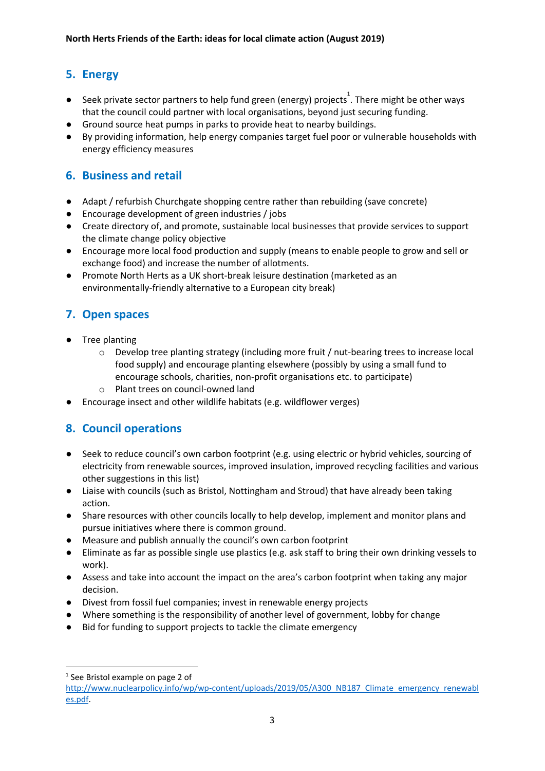# **5. Energy**

- $\bullet$  Seek private sector partners to help fund green (energy) projects<sup>1</sup>. There might be other ways that the council could partner with local organisations, beyond just securing funding.
- Ground source heat pumps in parks to provide heat to nearby buildings.
- By providing information, help energy companies target fuel poor or vulnerable households with energy efficiency measures

# **6. Business and retail**

- Adapt / refurbish Churchgate shopping centre rather than rebuilding (save concrete)
- Encourage development of green industries / jobs
- Create directory of, and promote, sustainable local businesses that provide services to support the climate change policy objective
- Encourage more local food production and supply (means to enable people to grow and sell or exchange food) and increase the number of allotments.
- Promote North Herts as a UK short-break leisure destination (marketed as an environmentally-friendly alternative to a European city break)

# **7. Open spaces**

- Tree planting
	- $\circ$  Develop tree planting strategy (including more fruit / nut-bearing trees to increase local food supply) and encourage planting elsewhere (possibly by using a small fund to encourage schools, charities, non-profit organisations etc. to participate)
	- o Plant trees on council-owned land
- Encourage insect and other wildlife habitats (e.g. wildflower verges)

## **8. Council operations**

- Seek to reduce council's own carbon footprint (e.g. using electric or hybrid vehicles, sourcing of electricity from renewable sources, improved insulation, improved recycling facilities and various other suggestions in this list)
- Liaise with councils (such as Bristol, Nottingham and Stroud) that have already been taking action.
- Share resources with other councils locally to help develop, implement and monitor plans and pursue initiatives where there is common ground.
- Measure and publish annually the council's own carbon footprint
- Eliminate as far as possible single use plastics (e.g. ask staff to bring their own drinking vessels to work).
- Assess and take into account the impact on the area's carbon footprint when taking any major decision.
- Divest from fossil fuel companies; invest in renewable energy projects
- Where something is the responsibility of another level of government, lobby for change
- Bid for funding to support projects to tackle the climate emergency

 $1$  See Bristol example on page 2 of

[http://www.nuclearpolicy.info/wp/wp-content/uploads/2019/05/A300\\_NB187\\_Climate\\_emergency\\_renewabl](http://www.nuclearpolicy.info/wp/wp-content/uploads/2019/05/A300_NB187_Climate_emergency_renewables.pdf) [es.pdf](http://www.nuclearpolicy.info/wp/wp-content/uploads/2019/05/A300_NB187_Climate_emergency_renewables.pdf).